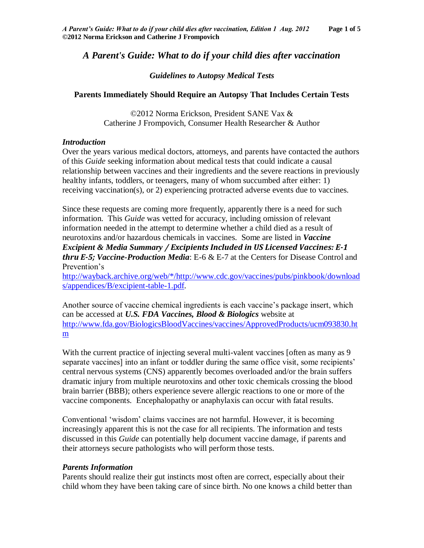# *A Parent's Guide: What to do if your child dies after vaccination*

### *Guidelines to Autopsy Medical Tests*

### **Parents Immediately Should Require an Autopsy That Includes Certain Tests**

©2012 Norma Erickson, President SANE Vax & Catherine J Frompovich, Consumer Health Researcher & Author

### *Introduction*

Over the years various medical doctors, attorneys, and parents have contacted the authors of this *Guide* seeking information about medical tests that could indicate a causal relationship between vaccines and their ingredients and the severe reactions in previously healthy infants, toddlers, or teenagers, many of whom succumbed after either: 1) receiving vaccination(s), or 2) experiencing protracted adverse events due to vaccines.

Since these requests are coming more frequently, apparently there is a need for such information. This *Guide* was vetted for accuracy, including omission of relevant information needed in the attempt to determine whether a child died as a result of neurotoxins and/or hazardous chemicals in vaccines. Some are listed in *Vaccine Excipient & Media Summary / Excipients Included in US Licensed Vaccines: E-1 thru E-5; Vaccine-Production Media*: E-6 & E-7 at the Centers for Disease Control and Prevention's

[http://wayback.archive.org/web/\\*/http://www.cdc.gov/vaccines/pubs/pinkbook/download](http://wayback.archive.org/web/*/http:/www.cdc.gov/vaccines/pubs/pinkbook/downloads/appendices/B/excipient-table-1.pdf) [s/appendices/B/excipient-table-1.pdf.](http://wayback.archive.org/web/*/http:/www.cdc.gov/vaccines/pubs/pinkbook/downloads/appendices/B/excipient-table-1.pdf)

Another source of vaccine chemical ingredients is each vaccine's package insert, which can be accessed at *U.S. FDA Vaccines, Blood & Biologics* website at [http://www.fda.gov/BiologicsBloodVaccines/vaccines/ApprovedProducts/ucm093830.ht](http://www.fda.gov/BiologicsBloodVaccines/vaccines/ApprovedProducts/ucm093830.htm) [m](http://www.fda.gov/BiologicsBloodVaccines/vaccines/ApprovedProducts/ucm093830.htm)

With the current practice of injecting several multi-valent vaccines [often as many as 9 separate vaccines] into an infant or toddler during the same office visit, some recipients' central nervous systems (CNS) apparently becomes overloaded and/or the brain suffers dramatic injury from multiple neurotoxins and other toxic chemicals crossing the blood brain barrier (BBB); others experience severe allergic reactions to one or more of the vaccine components. Encephalopathy or anaphylaxis can occur with fatal results.

Conventional 'wisdom' claims vaccines are not harmful. However, it is becoming increasingly apparent this is not the case for all recipients. The information and tests discussed in this *Guide* can potentially help document vaccine damage, if parents and their attorneys secure pathologists who will perform those tests.

### *Parents Information*

Parents should realize their gut instincts most often are correct, especially about their child whom they have been taking care of since birth. No one knows a child better than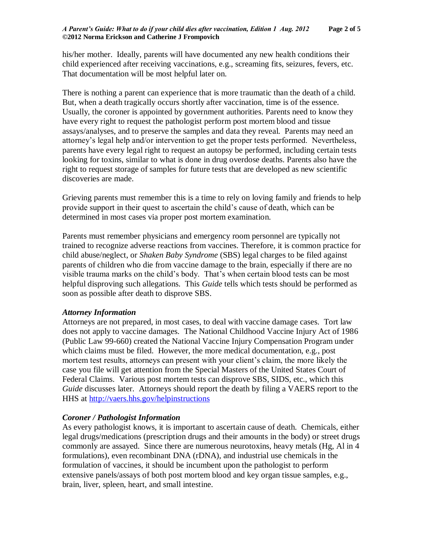his/her mother. Ideally, parents will have documented any new health conditions their child experienced after receiving vaccinations, e.g., screaming fits, seizures, fevers, etc. That documentation will be most helpful later on.

There is nothing a parent can experience that is more traumatic than the death of a child. But, when a death tragically occurs shortly after vaccination, time is of the essence. Usually, the coroner is appointed by government authorities. Parents need to know they have every right to request the pathologist perform post mortem blood and tissue assays/analyses, and to preserve the samples and data they reveal. Parents may need an attorney's legal help and/or intervention to get the proper tests performed. Nevertheless, parents have every legal right to request an autopsy be performed, including certain tests looking for toxins, similar to what is done in drug overdose deaths. Parents also have the right to request storage of samples for future tests that are developed as new scientific discoveries are made.

Grieving parents must remember this is a time to rely on loving family and friends to help provide support in their quest to ascertain the child's cause of death, which can be determined in most cases via proper post mortem examination.

Parents must remember physicians and emergency room personnel are typically not trained to recognize adverse reactions from vaccines. Therefore, it is common practice for child abuse/neglect, or *Shaken Baby Syndrome* (SBS) legal charges to be filed against parents of children who die from vaccine damage to the brain, especially if there are no visible trauma marks on the child's body. That's when certain blood tests can be most helpful disproving such allegations. This *Guide* tells which tests should be performed as soon as possible after death to disprove SBS.

## *Attorney Information*

Attorneys are not prepared, in most cases, to deal with vaccine damage cases. Tort law does not apply to vaccine damages. The National Childhood Vaccine Injury Act of 1986 (Public Law 99-660) created the National Vaccine Injury Compensation Program under which claims must be filed. However, the more medical documentation, e.g., post mortem test results, attorneys can present with your client's claim, the more likely the case you file will get attention from the Special Masters of the United States Court of Federal Claims. Various post mortem tests can disprove SBS, SIDS, etc., which this *Guide* discusses later. Attorneys should report the death by filing a VAERS report to the HHS at<http://vaers.hhs.gov/helpinstructions>

## *Coroner / Pathologist Information*

As every pathologist knows, it is important to ascertain cause of death. Chemicals, either legal drugs/medications (prescription drugs and their amounts in the body) or street drugs commonly are assayed. Since there are numerous neurotoxins, heavy metals (Hg, Al in 4 formulations), even recombinant DNA (rDNA), and industrial use chemicals in the formulation of vaccines, it should be incumbent upon the pathologist to perform extensive panels/assays of both post mortem blood and key organ tissue samples, e.g., brain, liver, spleen, heart, and small intestine.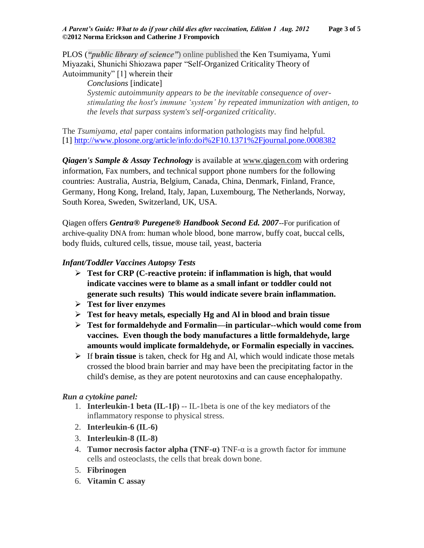PLOS (*"public library of science"*) online published the Ken Tsumiyama, Yumi Miyazaki, Shunichi Shiozawa paper "Self-Organized Criticality Theory of Autoimmunity" [1] wherein their

*Conclusions* [indicate] *Systemic autoimmunity appears to be the inevitable consequence of overstimulating the host's immune 'system' by repeated immunization with antigen, to the levels that surpass system's self-organized criticality*.

The *Tsumiyama, etal* paper contains information pathologists may find helpful. [1]<http://www.plosone.org/article/info:doi%2F10.1371%2Fjournal.pone.0008382>

*Qiagen's Sample & Assay Technology* is available at [www.qiagen.com](http://www.qiagen.com/) with ordering information, Fax numbers, and technical support phone numbers for the following countries: Australia, Austria, Belgium, Canada, China, Denmark, Finland, France, Germany, Hong Kong, Ireland, Italy, Japan, Luxembourg, The Netherlands, Norway, South Korea, Sweden, Switzerland, UK, USA.

Qiagen offers *Gentra® Puregene® Handbook Second Ed. 2007*--For purification of archive-quality DNA from: human whole blood, bone marrow, buffy coat, buccal cells, body fluids, cultured cells, tissue, mouse tail, yeast, bacteria

# *Infant/Toddler Vaccines Autopsy Tests*

- **Test for CRP (C-reactive protein: if inflammation is high, that would indicate vaccines were to blame as a small infant or toddler could not generate such results) This would indicate severe brain inflammation.**
- **Test for liver enzymes**
- **Test for heavy metals, especially Hg and Al in blood and brain tissue**
- **Test for formaldehyde and Formalin—in particular--which would come from vaccines. Even though the body manufactures a little formaldehyde, large amounts would implicate formaldehyde, or Formalin especially in vaccines.**
- If **brain tissue** is taken, check for Hg and Al, which would indicate those metals crossed the blood brain barrier and may have been the precipitating factor in the child's demise, as they are potent neurotoxins and can cause encephalopathy.

## *Run a cytokine panel:*

- 1. **Interleukin-1 beta (IL-1β)** -- IL-1beta is one of the key mediators of the inflammatory response to physical stress.
- 2. **Interleukin-6 (IL-6)**
- 3. **Interleukin-8 (IL-8)**
- 4. **Tumor necrosis factor alpha (TNF-α)** TNF-α is a growth factor for immune cells and osteoclasts, the cells that break down bone.
- 5. **Fibrinogen**
- 6. **Vitamin C assay**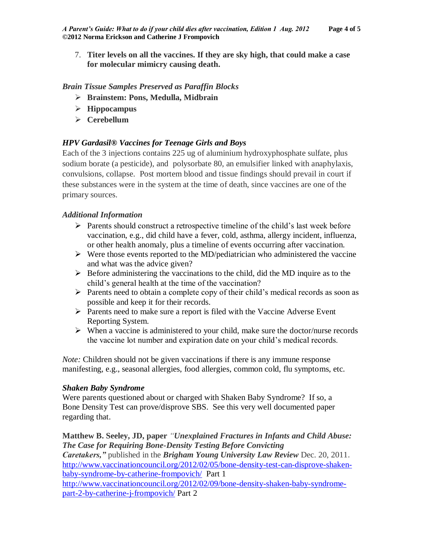7. **Titer levels on all the vaccines. If they are sky high, that could make a case for molecular mimicry causing death.**

### *Brain Tissue Samples Preserved as Paraffin Blocks*

- **Brainstem: Pons, Medulla, Midbrain**
- **Hippocampus**
- **Cerebellum**

## *HPV Gardasil® Vaccines for Teenage Girls and Boys*

Each of the 3 injections contains 225 ug of aluminium hydroxyphosphate sulfate, plus sodium borate (a pesticide), and polysorbate 80, an emulsifier linked with anaphylaxis, convulsions, collapse. Post mortem blood and tissue findings should prevail in court if these substances were in the system at the time of death, since vaccines are one of the primary sources.

## *Additional Information*

- $\triangleright$  Parents should construct a retrospective timeline of the child's last week before vaccination, e.g., did child have a fever, cold, asthma, allergy incident, influenza, or other health anomaly, plus a timeline of events occurring after vaccination.
- $\triangleright$  Were those events reported to the MD/pediatrician who administered the vaccine and what was the advice given?
- $\triangleright$  Before administering the vaccinations to the child, did the MD inquire as to the child's general health at the time of the vaccination?
- $\triangleright$  Parents need to obtain a complete copy of their child's medical records as soon as possible and keep it for their records.
- $\triangleright$  Parents need to make sure a report is filed with the Vaccine Adverse Event Reporting System.
- $\triangleright$  When a vaccine is administered to your child, make sure the doctor/nurse records the vaccine lot number and expiration date on your child's medical records.

*Note:* Children should not be given vaccinations if there is any immune response manifesting, e.g., seasonal allergies, food allergies, common cold, flu symptoms, etc.

### *Shaken Baby Syndrome*

Were parents questioned about or charged with Shaken Baby Syndrome? If so, a Bone Density Test can prove/disprove SBS. See this very well documented paper regarding that.

**Matthew B. Seeley, JD, paper** *"Unexplained Fractures in Infants and Child Abuse: The Case for Requiring Bone-Density Testing Before Convicting Caretakers,"* published in the *Brigham Young University Law Review* Dec. 20, 2011. [http://www.vaccinationcouncil.org/2012/02/05/bone-density-test-can-disprove-shaken](http://www.vaccinationcouncil.org/2012/02/05/bone-density-test-can-disprove-shaken-baby-syndrome-by-catherine-frompovich/)[baby-syndrome-by-catherine-frompovich/](http://www.vaccinationcouncil.org/2012/02/05/bone-density-test-can-disprove-shaken-baby-syndrome-by-catherine-frompovich/) Part 1 [http://www.vaccinationcouncil.org/2012/02/09/bone-density-shaken-baby-syndrome](http://www.vaccinationcouncil.org/2012/02/09/bone-density-shaken-baby-syndrome-part-2-by-catherine-j-frompovich/)[part-2-by-catherine-j-frompovich/](http://www.vaccinationcouncil.org/2012/02/09/bone-density-shaken-baby-syndrome-part-2-by-catherine-j-frompovich/) Part 2